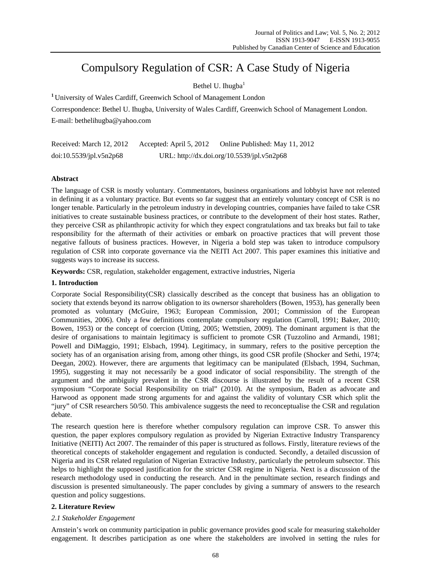# Compulsory Regulation of CSR: A Case Study of Nigeria

# Bethel U. Ihugba $<sup>1</sup>$ </sup>

**<sup>1</sup>**University of Wales Cardiff, Greenwich School of Management London

Correspondence: Bethel U. Ihugba, University of Wales Cardiff, Greenwich School of Management London. E-mail: bethelihugba@yahoo.com

Received: March 12, 2012 Accepted: April 5, 2012 Online Published: May 11, 2012 doi:10.5539/jpl.v5n2p68 URL: http://dx.doi.org/10.5539/jpl.v5n2p68

# **Abstract**

The language of CSR is mostly voluntary. Commentators, business organisations and lobbyist have not relented in defining it as a voluntary practice. But events so far suggest that an entirely voluntary concept of CSR is no longer tenable. Particularly in the petroleum industry in developing countries, companies have failed to take CSR initiatives to create sustainable business practices, or contribute to the development of their host states. Rather, they perceive CSR as philanthropic activity for which they expect congratulations and tax breaks but fail to take responsibility for the aftermath of their activities or embark on proactive practices that will prevent those negative fallouts of business practices. However, in Nigeria a bold step was taken to introduce compulsory regulation of CSR into corporate governance via the NEITI Act 2007. This paper examines this initiative and suggests ways to increase its success.

**Keywords:** CSR, regulation, stakeholder engagement, extractive industries, Nigeria

## **1. Introduction**

Corporate Social Responsibility(CSR) classically described as the concept that business has an obligation to society that extends beyond its narrow obligation to its ownersor shareholders (Bowen, 1953), has generally been promoted as voluntary (McGuire, 1963; European Commission, 2001; Commission of the European Communities, 2006). Only a few definitions contemplate compulsory regulation (Carroll, 1991; Baker, 2010; Bowen, 1953) or the concept of coercion (Utting, 2005; Wettstien, 2009). The dominant argument is that the desire of organisations to maintain legitimacy is sufficient to promote CSR (Tuzzolino and Armandi, 1981; Powell and DiMaggio, 1991; Elsbach, 1994). Legitimacy, in summary, refers to the positive perception the society has of an organisation arising from, among other things, its good CSR profile (Shocker and Sethi, 1974; Deegan, 2002). However, there are arguments that legitimacy can be manipulated (Elsbach, 1994, Suchman, 1995), suggesting it may not necessarily be a good indicator of social responsibility. The strength of the argument and the ambiguity prevalent in the CSR discourse is illustrated by the result of a recent CSR symposium "Corporate Social Responsibility on trial" (2010). At the symposium, Baden as advocate and Harwood as opponent made strong arguments for and against the validity of voluntary CSR which split the "jury" of CSR researchers 50/50. This ambivalence suggests the need to reconceptualise the CSR and regulation debate.

The research question here is therefore whether compulsory regulation can improve CSR. To answer this question, the paper explores compulsory regulation as provided by Nigerian Extractive Industry Transparency Initiative (NEITI) Act 2007. The remainder of this paper is structured as follows. Firstly, literature reviews of the theoretical concepts of stakeholder engagement and regulation is conducted. Secondly, a detailed discussion of Nigeria and its CSR related regulation of Nigerian Extractive Industry, particularly the petroleum subsector. This helps to highlight the supposed justification for the stricter CSR regime in Nigeria. Next is a discussion of the research methodology used in conducting the research. And in the penultimate section, research findings and discussion is presented simultaneously. The paper concludes by giving a summary of answers to the research question and policy suggestions.

# **2. Literature Review**

## *2.1 Stakeholder Engagement*

Arnstein's work on community participation in public governance provides good scale for measuring stakeholder engagement. It describes participation as one where the stakeholders are involved in setting the rules for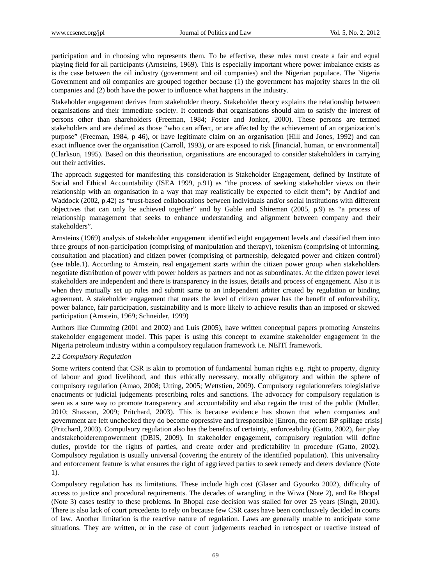participation and in choosing who represents them. To be effective, these rules must create a fair and equal playing field for all participants (Arnsteins, 1969). This is especially important where power imbalance exists as is the case between the oil industry (government and oil companies) and the Nigerian populace. The Nigeria Government and oil companies are grouped together because (1) the government has majority shares in the oil companies and (2) both have the power to influence what happens in the industry.

Stakeholder engagement derives from stakeholder theory. Stakeholder theory explains the relationship between organisations and their immediate society. It contends that organisations should aim to satisfy the interest of persons other than shareholders (Freeman, 1984; Foster and Jonker, 2000). These persons are termed stakeholders and are defined as those "who can affect, or are affected by the achievement of an organization's purpose" (Freeman, 1984, p 46), or have legitimate claim on an organisation (Hill and Jones, 1992) and can exact influence over the organisation (Carroll, 1993), or are exposed to risk [financial, human, or environmental] (Clarkson, 1995). Based on this theorisation, organisations are encouraged to consider stakeholders in carrying out their activities.

The approach suggested for manifesting this consideration is Stakeholder Engagement, defined by Institute of Social and Ethical Accountability (ISEA 1999, p.91) as "the process of seeking stakeholder views on their relationship with an organisation in a way that may realistically be expected to elicit them"; by Andriof and Waddock (2002, p.42) as "trust-based collaborations between individuals and/or social institutions with different objectives that can only be achieved together" and by Gable and Shireman (2005, p.9) as "a process of relationship management that seeks to enhance understanding and alignment between company and their stakeholders".

Arnsteins (1969) analysis of stakeholder engagement identified eight engagement levels and classified them into three groups of non-participation (comprising of manipulation and therapy), tokenism (comprising of informing, consultation and placation) and citizen power (comprising of partnership, delegated power and citizen control) (see table.1). According to Arnstein, real engagement starts within the citizen power group when stakeholders negotiate distribution of power with power holders as partners and not as subordinates. At the citizen power level stakeholders are independent and there is transparency in the issues, details and process of engagement. Also it is when they mutually set up rules and submit same to an independent arbiter created by regulation or binding agreement. A stakeholder engagement that meets the level of citizen power has the benefit of enforceability, power balance, fair participation, sustainability and is more likely to achieve results than an imposed or skewed participation (Arnstein, 1969; Schneider, 1999)

Authors like Cumming (2001 and 2002) and Luis (2005), have written conceptual papers promoting Arnsteins stakeholder engagement model. This paper is using this concept to examine stakeholder engagement in the Nigeria petroleum industry within a compulsory regulation framework i.e. NEITI framework.

## *2.2 Compulsory Regulation*

Some writers contend that CSR is akin to promotion of fundamental human rights e.g. right to property, dignity of labour and good livelihood, and thus ethically necessary, morally obligatory and within the sphere of compulsory regulation (Amao, 2008; Utting, 2005; Wettstien, 2009). Compulsory regulationrefers tolegislative enactments or judicial judgements prescribing roles and sanctions. The advocacy for compulsory regulation is seen as a sure way to promote transparency and accountability and also regain the trust of the public (Muller, 2010; Shaxson, 2009; Pritchard, 2003). This is because evidence has shown that when companies and government are left unchecked they do become oppressive and irresponsible [Enron, the recent BP spillage crisis] (Pritchard, 2003). Compulsory regulation also has the benefits of certainty, enforceability (Gatto, 2002), fair play andstakeholderempowerment (DBIS, 2009). In stakeholder engagement, compulsory regulation will define duties, provide for the rights of parties, and create order and predictability in procedure (Gatto, 2002). Compulsory regulation is usually universal (covering the entirety of the identified population). This universality and enforcement feature is what ensures the right of aggrieved parties to seek remedy and deters deviance (Note 1).

Compulsory regulation has its limitations. These include high cost (Glaser and Gyourko 2002), difficulty of access to justice and procedural requirements. The decades of wrangling in the Wiwa (Note 2), and Re Bhopal (Note 3) cases testify to these problems. In Bhopal case decision was stalled for over 25 years (Singh, 2010). There is also lack of court precedents to rely on because few CSR cases have been conclusively decided in courts of law. Another limitation is the reactive nature of regulation. Laws are generally unable to anticipate some situations. They are written, or in the case of court judgements reached in retrospect or reactive instead of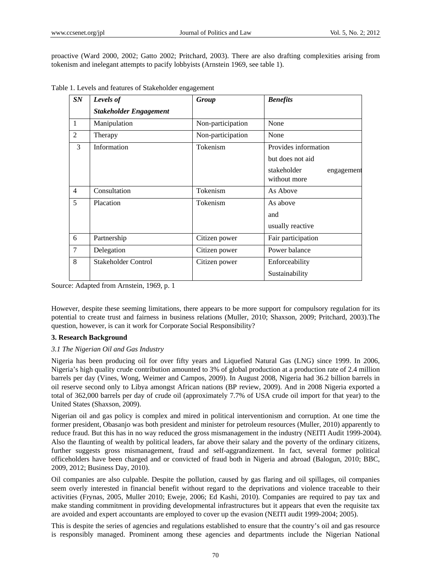proactive (Ward 2000, 2002; Gatto 2002; Pritchard, 2003). There are also drafting complexities arising from tokenism and inelegant attempts to pacify lobbyists (Arnstein 1969, see table 1).

| SN             | Levels of                     | Group             | <b>Benefits</b>                           |
|----------------|-------------------------------|-------------------|-------------------------------------------|
|                | <b>Stakeholder Engagement</b> |                   |                                           |
| 1              | Manipulation                  | Non-participation | None                                      |
| $\mathfrak{D}$ | Therapy                       | Non-participation | None                                      |
| 3              | Information                   | Tokenism          | Provides information                      |
|                |                               |                   | but does not aid                          |
|                |                               |                   | stakeholder<br>engagement<br>without more |
| $\overline{4}$ | Consultation                  | Tokenism          | As Above                                  |
| 5              | Placation                     | Tokenism          | As above                                  |
|                |                               |                   | and                                       |
|                |                               |                   | usually reactive                          |
| 6              | Partnership                   | Citizen power     | Fair participation                        |
| 7              | Delegation                    | Citizen power     | Power balance                             |
| 8              | Stakeholder Control           | Citizen power     | Enforceability                            |
|                |                               |                   | Sustainability                            |

Table 1. Levels and features of Stakeholder engagement

Source: Adapted from Arnstein, 1969, p. 1

However, despite these seeming limitations, there appears to be more support for compulsory regulation for its potential to create trust and fairness in business relations (Muller, 2010; Shaxson, 2009; Pritchard, 2003).The question, however, is can it work for Corporate Social Responsibility?

#### **3. Research Background**

## *3.1 The Nigerian Oil and Gas Industry*

Nigeria has been producing oil for over fifty years and Liquefied Natural Gas (LNG) since 1999. In 2006, Nigeria's high quality crude contribution amounted to 3% of global production at a production rate of 2.4 million barrels per day (Vines, Wong, Weimer and Campos, 2009). In August 2008, Nigeria had 36.2 billion barrels in oil reserve second only to Libya amongst African nations (BP review, 2009). And in 2008 Nigeria exported a total of 362,000 barrels per day of crude oil (approximately 7.7% of USA crude oil import for that year) to the United States (Shaxson, 2009).

Nigerian oil and gas policy is complex and mired in political interventionism and corruption. At one time the former president, Obasanjo was both president and minister for petroleum resources (Muller, 2010) apparently to reduce fraud. But this has in no way reduced the gross mismanagement in the industry (NEITI Audit 1999-2004). Also the flaunting of wealth by political leaders, far above their salary and the poverty of the ordinary citizens, further suggests gross mismanagement, fraud and self-aggrandizement. In fact, several former political officeholders have been charged and or convicted of fraud both in Nigeria and abroad (Balogun, 2010; BBC, 2009, 2012; Business Day, 2010).

Oil companies are also culpable. Despite the pollution, caused by gas flaring and oil spillages, oil companies seem overly interested in financial benefit without regard to the deprivations and violence traceable to their activities (Frynas, 2005, Muller 2010; Eweje, 2006; Ed Kashi, 2010). Companies are required to pay tax and make standing commitment in providing developmental infrastructures but it appears that even the requisite tax are avoided and expert accountants are employed to cover up the evasion (NEITI audit 1999-2004; 2005).

This is despite the series of agencies and regulations established to ensure that the country's oil and gas resource is responsibly managed. Prominent among these agencies and departments include the Nigerian National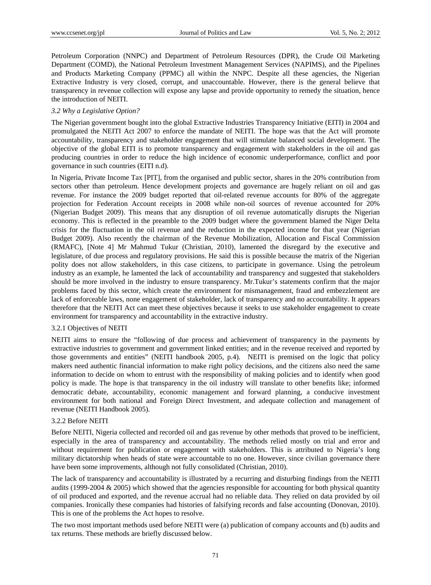Petroleum Corporation (NNPC) and Department of Petroleum Resources (DPR), the Crude Oil Marketing Department (COMD), the National Petroleum Investment Management Services (NAPIMS), and the Pipelines and Products Marketing Company (PPMC) all within the NNPC. Despite all these agencies, the Nigerian Extractive Industry is very closed, corrupt, and unaccountable. However, there is the general believe that transparency in revenue collection will expose any lapse and provide opportunity to remedy the situation, hence the introduction of NEITI.

## *3.2 Why a Legislative Option?*

The Nigerian government bought into the global Extractive Industries Transparency Initiative (EITI) in 2004 and promulgated the NEITI Act 2007 to enforce the mandate of NEITI. The hope was that the Act will promote accountability, transparency and stakeholder engagement that will stimulate balanced social development. The objective of the global EITI is to promote transparency and engagement with stakeholders in the oil and gas producing countries in order to reduce the high incidence of economic underperformance, conflict and poor governance in such countries (EITI n.d).

In Nigeria, Private Income Tax [PIT], from the organised and public sector, shares in the 20% contribution from sectors other than petroleum. Hence development projects and governance are hugely reliant on oil and gas revenue. For instance the 2009 budget reported that oil-related revenue accounts for 80% of the aggregate projection for Federation Account receipts in 2008 while non-oil sources of revenue accounted for 20% (Nigerian Budget 2009). This means that any disruption of oil revenue automatically disrupts the Nigerian economy. This is reflected in the preamble to the 2009 budget where the government blamed the Niger Delta crisis for the fluctuation in the oil revenue and the reduction in the expected income for that year (Nigerian Budget 2009). Also recently the chairman of the Revenue Mobilization, Allocation and Fiscal Commission (RMAFC), [Note 4] Mr Mahmud Tukur (Christian, 2010), lamented the disregard by the executive and legislature, of due process and regulatory provisions. He said this is possible because the matrix of the Nigerian polity does not allow stakeholders, in this case citizens, to participate in governance. Using the petroleum industry as an example, he lamented the lack of accountability and transparency and suggested that stakeholders should be more involved in the industry to ensure transparency. Mr.Tukur's statements confirm that the major problems faced by this sector, which create the environment for mismanagement, fraud and embezzlement are lack of enforceable laws, none engagement of stakeholder, lack of transparency and no accountability. It appears therefore that the NEITI Act can meet these objectives because it seeks to use stakeholder engagement to create environment for transparency and accountability in the extractive industry.

## 3.2.1 Objectives of NEITI

NEITI aims to ensure the "following of due process and achievement of transparency in the payments by extractive industries to government and government linked entities; and in the revenue received and reported by those governments and entities" (NEITI handbook 2005, p.4). NEITI is premised on the logic that policy makers need authentic financial information to make right policy decisions, and the citizens also need the same information to decide on whom to entrust with the responsibility of making policies and to identify when good policy is made. The hope is that transparency in the oil industry will translate to other benefits like; informed democratic debate, accountability, economic management and forward planning, a conducive investment environment for both national and Foreign Direct Investment, and adequate collection and management of revenue (NEITI Handbook 2005).

## 3.2.2 Before NEITI

Before NEITI, Nigeria collected and recorded oil and gas revenue by other methods that proved to be inefficient, especially in the area of transparency and accountability. The methods relied mostly on trial and error and without requirement for publication or engagement with stakeholders. This is attributed to Nigeria's long military dictatorship when heads of state were accountable to no one. However, since civilian governance there have been some improvements, although not fully consolidated (Christian, 2010).

The lack of transparency and accountability is illustrated by a recurring and disturbing findings from the NEITI audits (1999-2004 & 2005) which showed that the agencies responsible for accounting for both physical quantity of oil produced and exported, and the revenue accrual had no reliable data. They relied on data provided by oil companies. Ironically these companies had histories of falsifying records and false accounting (Donovan, 2010). This is one of the problems the Act hopes to resolve.

The two most important methods used before NEITI were (a) publication of company accounts and (b) audits and tax returns. These methods are briefly discussed below.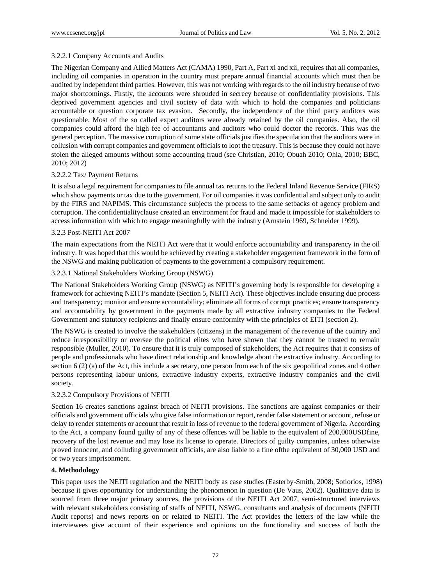## 3.2.2.1 Company Accounts and Audits

The Nigerian Company and Allied Matters Act (CAMA) 1990, Part A, Part xi and xii, requires that all companies, including oil companies in operation in the country must prepare annual financial accounts which must then be audited by independent third parties. However, this was not working with regards to the oil industry because of two major shortcomings. Firstly, the accounts were shrouded in secrecy because of confidentiality provisions. This deprived government agencies and civil society of data with which to hold the companies and politicians accountable or question corporate tax evasion. Secondly, the independence of the third party auditors was questionable. Most of the so called expert auditors were already retained by the oil companies. Also, the oil companies could afford the high fee of accountants and auditors who could doctor the records. This was the general perception. The massive corruption of some state officials justifies the speculation that the auditors were in collusion with corrupt companies and government officials to loot the treasury. This is because they could not have stolen the alleged amounts without some accounting fraud (see Christian, 2010; Obuah 2010; Ohia, 2010; BBC, 2010; 2012)

## 3.2.2.2 Tax/ Payment Returns

It is also a legal requirement for companies to file annual tax returns to the Federal Inland Revenue Service (FIRS) which show payments or tax due to the government. For oil companies it was confidential and subject only to audit by the FIRS and NAPIMS. This circumstance subjects the process to the same setbacks of agency problem and corruption. The confidentialityclause created an environment for fraud and made it impossible for stakeholders to access information with which to engage meaningfully with the industry (Arnstein 1969, Schneider 1999).

## 3.2.3 Post-NEITI Act 2007

The main expectations from the NEITI Act were that it would enforce accountability and transparency in the oil industry. It was hoped that this would be achieved by creating a stakeholder engagement framework in the form of the NSWG and making publication of payments to the government a compulsory requirement.

## 3.2.3.1 National Stakeholders Working Group (NSWG)

The National Stakeholders Working Group (NSWG) as NEITI's governing body is responsible for developing a framework for achieving NEITI's mandate (Section 5, NEITI Act). These objectives include ensuring due process and transparency; monitor and ensure accountability; eliminate all forms of corrupt practices; ensure transparency and accountability by government in the payments made by all extractive industry companies to the Federal Government and statutory recipients and finally ensure conformity with the principles of EITI (section 2).

The NSWG is created to involve the stakeholders (citizens) in the management of the revenue of the country and reduce irresponsibility or oversee the political elites who have shown that they cannot be trusted to remain responsible (Muller, 2010). To ensure that it is truly composed of stakeholders, the Act requires that it consists of people and professionals who have direct relationship and knowledge about the extractive industry. According to section 6 (2) (a) of the Act, this include a secretary, one person from each of the six geopolitical zones and 4 other persons representing labour unions, extractive industry experts, extractive industry companies and the civil society.

## 3.2.3.2 Compulsory Provisions of NEITI

Section 16 creates sanctions against breach of NEITI provisions. The sanctions are against companies or their officials and government officials who give false information or report, render false statement or account, refuse or delay to render statements or account that result in loss of revenue to the federal government of Nigeria. According to the Act, a company found guilty of any of these offences will be liable to the equivalent of 200,000USDfine, recovery of the lost revenue and may lose its license to operate. Directors of guilty companies, unless otherwise proved innocent, and colluding government officials, are also liable to a fine ofthe equivalent of 30,000 USD and or two years imprisonment.

## **4. Methodology**

This paper uses the NEITI regulation and the NEITI body as case studies (Easterby-Smith, 2008; Sotiorios, 1998) because it gives opportunity for understanding the phenomenon in question (De Vaus, 2002). Qualitative data is sourced from three major primary sources, the provisions of the NEITI Act 2007, semi-structured interviews with relevant stakeholders consisting of staffs of NEITI, NSWG, consultants and analysis of documents (NEITI Audit reports) and news reports on or related to NEITI. The Act provides the letters of the law while the interviewees give account of their experience and opinions on the functionality and success of both the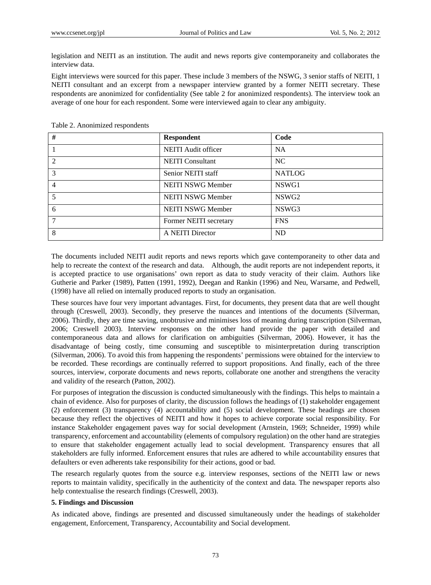legislation and NEITI as an institution. The audit and news reports give contemporaneity and collaborates the interview data.

Eight interviews were sourced for this paper. These include 3 members of the NSWG, 3 senior staffs of NEITI, 1 NEITI consultant and an excerpt from a newspaper interview granted by a former NEITI secretary. These respondents are anonimized for confidentiality (See table 2 for anonimized respondents). The interview took an average of one hour for each respondent. Some were interviewed again to clear any ambiguity.

| #              | <b>Respondent</b>        | Code              |
|----------------|--------------------------|-------------------|
|                | NEITI Audit officer      | <b>NA</b>         |
| 2              | <b>NEITI</b> Consultant  | <b>NC</b>         |
| 3              | Senior NEITI staff       | <b>NATLOG</b>     |
| $\overline{4}$ | <b>NEITI NSWG Member</b> | NSWG1             |
|                | <b>NEITI NSWG Member</b> | NSWG <sub>2</sub> |
| 6              | NEITI NSWG Member        | NSWG3             |
| 7              | Former NEITI secretary   | <b>FNS</b>        |
| 8              | A NEITI Director         | <b>ND</b>         |

Table 2. Anonimized respondents

The documents included NEITI audit reports and news reports which gave contemporaneity to other data and help to recreate the context of the research and data. Although, the audit reports are not independent reports, it is accepted practice to use organisations' own report as data to study veracity of their claim. Authors like Gutherie and Parker (1989), Patten (1991, 1992), Deegan and Rankin (1996) and Neu, Warsame, and Pedwell, (1998) have all relied on internally produced reports to study an organisation.

These sources have four very important advantages. First, for documents, they present data that are well thought through (Creswell, 2003). Secondly, they preserve the nuances and intentions of the documents (Silverman, 2006). Thirdly, they are time saving, unobtrusive and minimises loss of meaning during transcription (Silverman, 2006; Creswell 2003). Interview responses on the other hand provide the paper with detailed and contemporaneous data and allows for clarification on ambiguities (Silverman, 2006). However, it has the disadvantage of being costly, time consuming and susceptible to misinterpretation during transcription (Silverman, 2006). To avoid this from happening the respondents' permissions were obtained for the interview to be recorded. These recordings are continually referred to support propositions. And finally, each of the three sources, interview, corporate documents and news reports, collaborate one another and strengthens the veracity and validity of the research (Patton, 2002).

For purposes of integration the discussion is conducted simultaneously with the findings. This helps to maintain a chain of evidence. Also for purposes of clarity, the discussion follows the headings of (1) stakeholder engagement (2) enforcement (3) transparency (4) accountability and (5) social development. These headings are chosen because they reflect the objectives of NEITI and how it hopes to achieve corporate social responsibility. For instance Stakeholder engagement paves way for social development (Arnstein, 1969; Schneider, 1999) while transparency, enforcement and accountability (elements of compulsory regulation) on the other hand are strategies to ensure that stakeholder engagement actually lead to social development. Transparency ensures that all stakeholders are fully informed. Enforcement ensures that rules are adhered to while accountability ensures that defaulters or even adherents take responsibility for their actions, good or bad.

The research regularly quotes from the source e.g. interview responses, sections of the NEITI law or news reports to maintain validity, specifically in the authenticity of the context and data. The newspaper reports also help contextualise the research findings (Creswell, 2003).

## **5. Findings and Discussion**

As indicated above, findings are presented and discussed simultaneously under the headings of stakeholder engagement, Enforcement, Transparency, Accountability and Social development.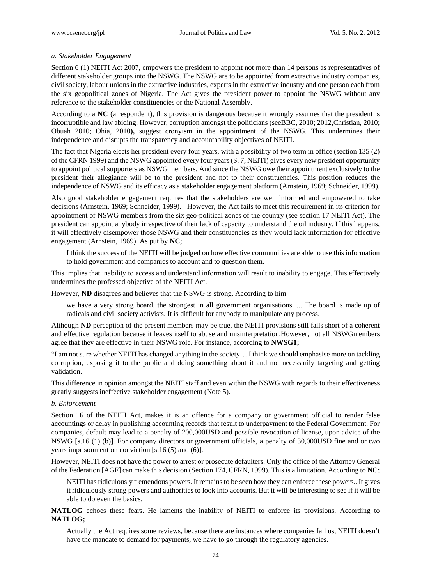## *a. Stakeholder Engagement*

Section 6 (1) NEITI Act 2007, empowers the president to appoint not more than 14 persons as representatives of different stakeholder groups into the NSWG. The NSWG are to be appointed from extractive industry companies, civil society, labour unions in the extractive industries, experts in the extractive industry and one person each from the six geopolitical zones of Nigeria. The Act gives the president power to appoint the NSWG without any reference to the stakeholder constituencies or the National Assembly.

According to a **NC** (a respondent), this provision is dangerous because it wrongly assumes that the president is incorruptible and law abiding. However, corruption amongst the politicians (seeBBC, 2010; 2012,Christian, 2010; Obuah 2010; Ohia, 2010**),** suggest cronyism in the appointment of the NSWG. This undermines their independence and disrupts the transparency and accountability objectives of NEITI.

The fact that Nigeria elects her president every four years, with a possibility of two term in office (section 135 (2) of the CFRN 1999) and the NSWG appointed every four years (S. 7, NEITI) gives every new president opportunity to appoint political supporters as NSWG members. And since the NSWG owe their appointment exclusively to the president their allegiance will be to the president and not to their constituencies. This position reduces the independence of NSWG and its efficacy as a stakeholder engagement platform (Arnstein, 1969; Schneider, 1999).

Also good stakeholder engagement requires that the stakeholders are well informed and empowered to take decisions (Arnstein, 1969; Schneider, 1999). However, the Act fails to meet this requirement in its criterion for appointment of NSWG members from the six geo-political zones of the country (see section 17 NEITI Act). The president can appoint anybody irrespective of their lack of capacity to understand the oil industry. If this happens, it will effectively disempower those NSWG and their constituencies as they would lack information for effective engagement (Arnstein, 1969). As put by **NC**;

I think the success of the NEITI will be judged on how effective communities are able to use this information to hold government and companies to account and to question them.

This implies that inability to access and understand information will result to inability to engage. This effectively undermines the professed objective of the NEITI Act.

However, **ND** disagrees and believes that the NSWG is strong. According to him

we have a very strong board, the strongest in all government organisations. ... The board is made up of radicals and civil society activists. It is difficult for anybody to manipulate any process.

Although **ND** perception of the present members may be true, the NEITI provisions still falls short of a coherent and effective regulation because it leaves itself to abuse and misinterpretation.However, not all NSWGmembers agree that they are effective in their NSWG role. For instance, according to **NWSG1;**

"I am not sure whether NEITI has changed anything in the society… I think we should emphasise more on tackling corruption, exposing it to the public and doing something about it and not necessarily targeting and getting validation.

This difference in opinion amongst the NEITI staff and even within the NSWG with regards to their effectiveness greatly suggests ineffective stakeholder engagement (Note 5).

#### *b. Enforcement*

Section 16 of the NEITI Act, makes it is an offence for a company or government official to render false accountings or delay in publishing accounting records that result to underpayment to the Federal Government. For companies, default may lead to a penalty of 200,000USD and possible revocation of license, upon advice of the NSWG [s.16 (1) (b)]. For company directors or government officials, a penalty of 30,000USD fine and or two years imprisonment on conviction [s.16 (5) and (6)].

However, NEITI does not have the power to arrest or prosecute defaulters. Only the office of the Attorney General of the Federation [AGF] can make this decision (Section 174, CFRN, 1999). This is a limitation. According to **NC**;

NEITI has ridiculously tremendous powers. It remains to be seen how they can enforce these powers.. It gives it ridiculously strong powers and authorities to look into accounts. But it will be interesting to see if it will be able to do even the basics.

**NATLOG** echoes these fears. He laments the inability of NEITI to enforce its provisions. According to **NATLOG;** 

Actually the Act requires some reviews, because there are instances where companies fail us, NEITI doesn't have the mandate to demand for payments, we have to go through the regulatory agencies.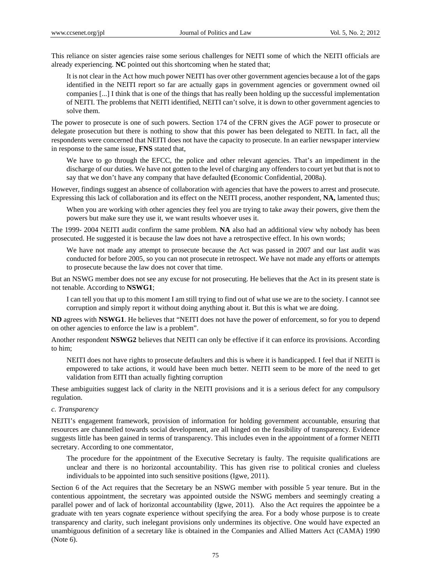This reliance on sister agencies raise some serious challenges for NEITI some of which the NEITI officials are already experiencing. **NC** pointed out this shortcoming when he stated that;

It is not clear in the Act how much power NEITI has over other government agencies because a lot of the gaps identified in the NEITI report so far are actually gaps in government agencies or government owned oil companies [...] I think that is one of the things that has really been holding up the successful implementation of NEITI. The problems that NEITI identified, NEITI can't solve, it is down to other government agencies to solve them.

The power to prosecute is one of such powers. Section 174 of the CFRN gives the AGF power to prosecute or delegate prosecution but there is nothing to show that this power has been delegated to NEITI. In fact, all the respondents were concerned that NEITI does not have the capacity to prosecute. In an earlier newspaper interview in response to the same issue, **FNS** stated that,

We have to go through the EFCC, the police and other relevant agencies. That's an impediment in the discharge of our duties. We have not gotten to the level of charging any offenders to court yet but that is not to say that we don't have any company that have defaulted **(**Economic Confidential, 2008a).

However, findings suggest an absence of collaboration with agencies that have the powers to arrest and prosecute. Expressing this lack of collaboration and its effect on the NEITI process, another respondent, **NA,** lamented thus;

When you are working with other agencies they feel you are trying to take away their powers, give them the powers but make sure they use it, we want results whoever uses it.

The 1999- 2004 NEITI audit confirm the same problem. **NA** also had an additional view why nobody has been prosecuted. He suggested it is because the law does not have a retrospective effect. In his own words;

We have not made any attempt to prosecute because the Act was passed in 2007 and our last audit was conducted for before 2005, so you can not prosecute in retrospect. We have not made any efforts or attempts to prosecute because the law does not cover that time.

But an NSWG member does not see any excuse for not prosecuting. He believes that the Act in its present state is not tenable. According to **NSWG1**;

I can tell you that up to this moment I am still trying to find out of what use we are to the society. I cannot see corruption and simply report it without doing anything about it. But this is what we are doing.

**ND** agrees with **NSWG1**. He believes that "NEITI does not have the power of enforcement, so for you to depend on other agencies to enforce the law is a problem".

Another respondent **NSWG2** believes that NEITI can only be effective if it can enforce its provisions. According to him;

NEITI does not have rights to prosecute defaulters and this is where it is handicapped. I feel that if NEITI is empowered to take actions, it would have been much better. NEITI seem to be more of the need to get validation from EITI than actually fighting corruption

These ambiguities suggest lack of clarity in the NEITI provisions and it is a serious defect for any compulsory regulation.

#### *c. Transparency*

NEITI's engagement framework, provision of information for holding government accountable, ensuring that resources are channelled towards social development, are all hinged on the feasibility of transparency. Evidence suggests little has been gained in terms of transparency. This includes even in the appointment of a former NEITI secretary. According to one commentator,

The procedure for the appointment of the Executive Secretary is faulty. The requisite qualifications are unclear and there is no horizontal accountability. This has given rise to political cronies and clueless individuals to be appointed into such sensitive positions (Igwe, 2011).

Section 6 of the Act requires that the Secretary be an NSWG member with possible 5 year tenure. But in the contentious appointment, the secretary was appointed outside the NSWG members and seemingly creating a parallel power and of lack of horizontal accountability (Igwe, 2011). Also the Act requires the appointee be a graduate with ten years cognate experience without specifying the area. For a body whose purpose is to create transparency and clarity, such inelegant provisions only undermines its objective. One would have expected an unambiguous definition of a secretary like is obtained in the Companies and Allied Matters Act (CAMA) 1990 (Note 6).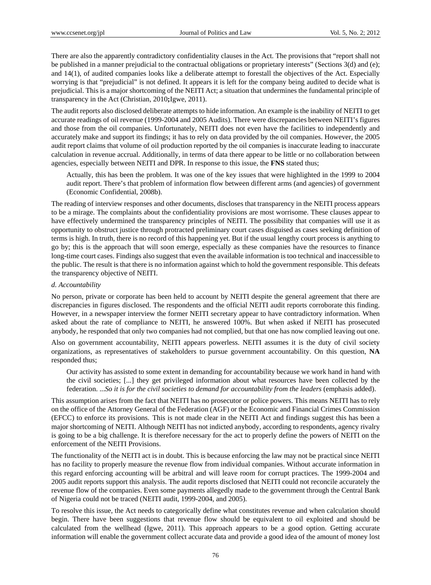There are also the apparently contradictory confidentiality clauses in the Act. The provisions that "report shall not be published in a manner prejudicial to the contractual obligations or proprietary interests" (Sections 3(d) and (e); and 14(1), of audited companies looks like a deliberate attempt to forestall the objectives of the Act. Especially worrying is that "prejudicial" is not defined. It appears it is left for the company being audited to decide what is prejudicial. This is a major shortcoming of the NEITI Act; a situation that undermines the fundamental principle of transparency in the Act (Christian, 2010**;**Igwe, 2011).

The audit reports also disclosed deliberate attempts to hide information. An example is the inability of NEITI to get accurate readings of oil revenue (1999-2004 and 2005 Audits). There were discrepancies between NEITI's figures and those from the oil companies. Unfortunately, NEITI does not even have the facilities to independently and accurately make and support its findings; it has to rely on data provided by the oil companies. However, the 2005 audit report claims that volume of oil production reported by the oil companies is inaccurate leading to inaccurate calculation in revenue accrual. Additionally, in terms of data there appear to be little or no collaboration between agencies, especially between NEITI and DPR. In response to this issue, the **FNS** stated thus;

Actually, this has been the problem. It was one of the key issues that were highlighted in the 1999 to 2004 audit report. There's that problem of information flow between different arms (and agencies) of government (Economic Confidential, 2008b).

The reading of interview responses and other documents, discloses that transparency in the NEITI process appears to be a mirage. The complaints about the confidentiality provisions are most worrisome. These clauses appear to have effectively undermined the transparency principles of NEITI. The possibility that companies will use it as opportunity to obstruct justice through protracted preliminary court cases disguised as cases seeking definition of terms is high. In truth, there is no record of this happening yet. But if the usual lengthy court process is anything to go by; this is the approach that will soon emerge, especially as these companies have the resources to finance long-time court cases. Findings also suggest that even the available information is too technical and inaccessible to the public. The result is that there is no information against which to hold the government responsible. This defeats the transparency objective of NEITI.

## *d. Accountability*

No person, private or corporate has been held to account by NEITI despite the general agreement that there are discrepancies in figures disclosed. The respondents and the official NEITI audit reports corroborate this finding. However, in a newspaper interview the former NEITI secretary appear to have contradictory information. When asked about the rate of compliance to NEITI, he answered 100%. But when asked if NEITI has prosecuted anybody, he responded that only two companies had not complied, but that one has now complied leaving out one.

Also on government accountability, NEITI appears powerless. NEITI assumes it is the duty of civil society organizations, as representatives of stakeholders to pursue government accountability. On this question, **NA**  responded thus;

Our activity has assisted to some extent in demanding for accountability because we work hand in hand with the civil societies; [...] they get privileged information about what resources have been collected by the federation. ...*So it is for the civil societies to demand for accountability from the leaders* (emphasis added).

This assumption arises from the fact that NEITI has no prosecutor or police powers. This means NEITI has to rely on the office of the Attorney General of the Federation (AGF) or the Economic and Financial Crimes Commission (EFCC) to enforce its provisions. This is not made clear in the NEITI Act and findings suggest this has been a major shortcoming of NEITI. Although NEITI has not indicted anybody, according to respondents, agency rivalry is going to be a big challenge. It is therefore necessary for the act to properly define the powers of NEITI on the enforcement of the NEITI Provisions.

The functionality of the NEITI act is in doubt. This is because enforcing the law may not be practical since NEITI has no facility to properly measure the revenue flow from individual companies. Without accurate information in this regard enforcing accounting will be arbitral and will leave room for corrupt practices. The 1999-2004 and 2005 audit reports support this analysis. The audit reports disclosed that NEITI could not reconcile accurately the revenue flow of the companies. Even some payments allegedly made to the government through the Central Bank of Nigeria could not be traced (NEITI audit, 1999-2004, and 2005).

To resolve this issue, the Act needs to categorically define what constitutes revenue and when calculation should begin. There have been suggestions that revenue flow should be equivalent to oil exploited and should be calculated from the wellhead (Igwe, 2011). This approach appears to be a good option. Getting accurate information will enable the government collect accurate data and provide a good idea of the amount of money lost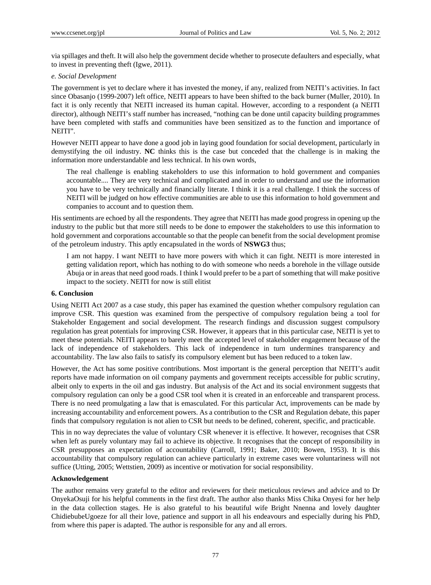via spillages and theft. It will also help the government decide whether to prosecute defaulters and especially, what to invest in preventing theft (Igwe, 2011).

#### *e. Social Development*

The government is yet to declare where it has invested the money, if any, realized from NEITI's activities. In fact since Obasanjo (1999-2007) left office, NEITI appears to have been shifted to the back burner (Muller, 2010). In fact it is only recently that NEITI increased its human capital. However, according to a respondent (a NEITI director), although NEITI's staff number has increased, "nothing can be done until capacity building programmes have been completed with staffs and communities have been sensitized as to the function and importance of NEITI".

However NEITI appear to have done a good job in laying good foundation for social development, particularly in demystifying the oil industry. **NC** thinks this is the case but conceded that the challenge is in making the information more understandable and less technical. In his own words,

The real challenge is enabling stakeholders to use this information to hold government and companies accountable.... They are very technical and complicated and in order to understand and use the information you have to be very technically and financially literate. I think it is a real challenge. I think the success of NEITI will be judged on how effective communities are able to use this information to hold government and companies to account and to question them.

His sentiments are echoed by all the respondents. They agree that NEITI has made good progress in opening up the industry to the public but that more still needs to be done to empower the stakeholders to use this information to hold government and corporations accountable so that the people can benefit from the social development promise of the petroleum industry. This aptly encapsulated in the words of **NSWG3** thus;

I am not happy. I want NEITI to have more powers with which it can fight. NEITI is more interested in getting validation report, which has nothing to do with someone who needs a borehole in the village outside Abuja or in areas that need good roads. I think I would prefer to be a part of something that will make positive impact to the society. NEITI for now is still elitist

#### **6. Conclusion**

Using NEITI Act 2007 as a case study, this paper has examined the question whether compulsory regulation can improve CSR. This question was examined from the perspective of compulsory regulation being a tool for Stakeholder Engagement and social development. The research findings and discussion suggest compulsory regulation has great potentials for improving CSR. However, it appears that in this particular case, NEITI is yet to meet these potentials. NEITI appears to barely meet the accepted level of stakeholder engagement because of the lack of independence of stakeholders. This lack of independence in turn undermines transparency and accountability. The law also fails to satisfy its compulsory element but has been reduced to a token law.

However, the Act has some positive contributions. Most important is the general perception that NEITI's audit reports have made information on oil company payments and government receipts accessible for public scrutiny, albeit only to experts in the oil and gas industry. But analysis of the Act and its social environment suggests that compulsory regulation can only be a good CSR tool when it is created in an enforceable and transparent process. There is no need promulgating a law that is emasculated. For this particular Act, improvements can be made by increasing accountability and enforcement powers. As a contribution to the CSR and Regulation debate, this paper finds that compulsory regulation is not alien to CSR but needs to be defined, coherent, specific, and practicable.

This in no way depreciates the value of voluntary CSR whenever it is effective. It however, recognises that CSR when left as purely voluntary may fail to achieve its objective. It recognises that the concept of responsibility in CSR presupposes an expectation of accountability (Carroll, 1991; Baker, 2010; Bowen, 1953). It is this accountability that compulsory regulation can achieve particularly in extreme cases were voluntariness will not suffice (Utting, 2005; Wettstien, 2009) as incentive or motivation for social responsibility.

#### **Acknowledgement**

The author remains very grateful to the editor and reviewers for their meticulous reviews and advice and to Dr OnyekaOsuji for his helpful comments in the first draft. The author also thanks Miss Chika Onyesi for her help in the data collection stages. He is also grateful to his beautiful wife Bright Nnenna and lovely daughter ChidiebubeUgoeze for all their love, patience and support in all his endeavours and especially during his PhD, from where this paper is adapted. The author is responsible for any and all errors.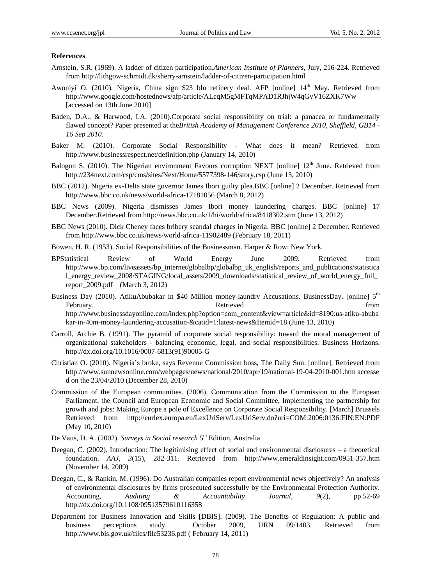#### **References**

- Arnstein, S.R. (1969). A ladder of citizen participation.*American Institute of Planners*, July, 216-224. Retrieved from http://lithgow-schmidt.dk/sherry-arnstein/ladder-of-citizen-participation.html
- Awoniyi O. (2010). Nigeria, China sign \$23 bln refinery deal. AFP [online] 14<sup>th</sup> May. Retrieved from http://www.google.com/hostednews/afp/article/ALeqM5gMFTqMPAD1RJhjW4qGyV16ZXK7Ww [accessed on 13th June 2010]
- Baden, D.A., & Harwood, I.A. (2010).Corporate social responsibility on trial: a panacea or fundamentally flawed concept? Paper presented at the*British Academy of Management Conference 2010, Sheffield, GB14 - 16 Sep 2010.*
- Baker M. (2010). Corporate Social Responsibility What does it mean? Retrieved from http://www.businessrespect.net/definition.php (January 14, 2010)
- Balogun S. (2010). The Nigerian environment Favours corruption NEXT [online]  $12<sup>th</sup>$  June. Retrieved from http://234next.com/csp/cms/sites/Next/Home/5577398-146/story.csp (June 13, 2010)
- BBC (2012). Nigeria ex-Delta state governor James Ibori guilty plea.BBC [online] 2 December. Retrieved from http://www.bbc.co.uk/news/world-africa-17181056 (March 8, 2012)
- BBC News (2009). Nigeria dismisses James Ibori money laundering charges. BBC [online] 17 December.Retrieved from http://news.bbc.co.uk/1/hi/world/africa/8418302.stm (June 13, 2012)
- BBC News (2010). Dick Cheney faces bribery scandal charges in Nigeria. BBC [online] 2 December. Retrieved from http://www.bbc.co.uk/news/world-africa-11902489 (February 18, 2011)
- Bowen, H. R. (1953). Social Responsibilities of the Businessman. Harper & Row: New York.
- BPStatistical Review of World Energy June 2009. Retrieved from http://www.bp.com/liveassets/bp\_internet/globalbp/globalbp\_uk\_english/reports\_and\_publications/statistica l\_energy\_review\_2008/STAGING/local\_assets/2009\_downloads/statistical\_review\_of\_world\_energy\_full\_ report\_2009.pdf (March 3, 2012)
- Business Day (2010). AtikuAbubakar in \$40 Million money-laundry Accusations. BusinessDay. [online] 5<sup>th</sup> February. The contract of the contract of the extension of the contract of the contract of the from the contract of the contract of the contract of the contract of the contract of the contract of the contract of the contra http://www.businessdayonline.com/index.php?option=com\_content&view=article&id=8190:us-atiku-abuba kar-in-40m-money-laundering-accusation-&catid=1:latest-news&Itemid=18 (June 13, 2010)
- Carroll, Archie B. (1991). The pyramid of corporate social responsibility: toward the moral management of organizational stakeholders - balancing economic, legal, and social responsibilities. Business Horizons. http://dx.doi.org/10.1016/0007-6813(91)90005-G
- Christian O. (2010). Nigeria's broke, says Revenue Commission boss, The Daily Sun. [online]. Retrieved from http://www.sunnewsonline.com/webpages/news/national/2010/apr/19/national-19-04-2010-001.htm accesse d on the 23/04/2010 (December 28, 2010)
- Commission of the European communities. (2006). Communication from the Commission to the European Parliament, the Council and European Economic and Social Committee, Implementing the partnership for growth and jobs: Making Europe a pole of Excellence on Corporate Social Responsibility. [March] Brussels Retrieved from http://eurlex.europa.eu/LexUriServ/LexUriServ.do?uri=COM:2006:0136:FIN:EN:PDF (May 10, 2010)
- De Vaus, D. A. (2002). *Surveys in Social research* 5<sup>th</sup> Edition, Australia
- Deegan, C. (2002). Introduction: The legitimising effect of social and environmental disclosures a theoretical foundation. *AAJ*, *3*(15), 282-311. Retrieved from http://www.emeraldinsight.com/0951-357.htm (November 14, 2009)
- Deegan, C., & Rankin, M. (1996). Do Australian companies report environmental news objectively? An analysis of environmental disclosures by firms prosecuted successfully by the Environmental Protection Authority. Accounting, *Auditing & Accountability Journal, 9*(2), pp.52-69 http://dx.doi.org/10.1108/09513579610116358
- Department for Business Innovation and Skills [DBIS]. (2009). The Benefits of Regulation: A public and business perceptions study. October 2009, URN 09/1403. Retrieved from http://www.bis.gov.uk/files/file53236.pdf ( February 14, 2011)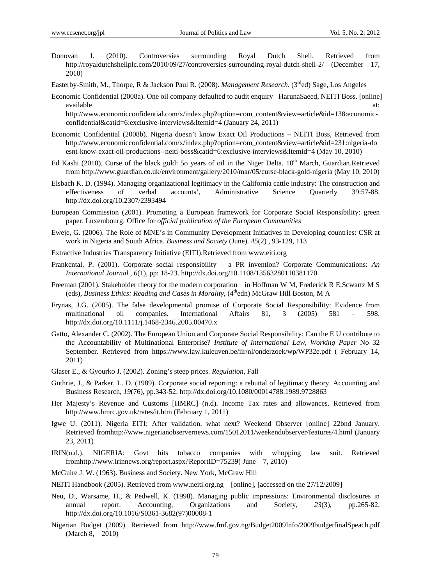- Donovan J. (2010). Controversies surrounding Royal Dutch Shell. Retrieved from http://royaldutchshellplc.com/2010/09/27/controversies-surrounding-royal-dutch-shell-2/ (December 17, 2010)
- Easterby-Smith, M., Thorpe, R & Jackson Paul R. (2008). *Management Research*. (3<sup>rd</sup>ed) Sage, Los Angeles
- Economic Confidential (2008a). One oil company defaulted to audit enquiry –HarunaSaeed, NEITI Boss. [online] available at: and a state at a state at a state at a state at a state at a state at a state at a state at a st

http://www.economicconfidential.com/x/index.php?option=com\_content&view=article&id=138:economicconfidential&catid=6:exclusive-interviews&Itemid=4 (January 24, 2011)

- Economic Confidential (2008b). Nigeria doesn't know Exact Oil Productions NEITI Boss, Retrieved from http://www.economicconfidential.com/x/index.php?option=com\_content&view=article&id=231:nigeria-do esnt-know-exact-oil-productions--neiti-boss&catid=6:exclusive-interviews&Itemid=4 (May 10, 2010)
- Ed Kashi (2010). Curse of the black gold: 5o years of oil in the Niger Delta. 10<sup>th</sup> March, Guardian.Retrieved from http://www.guardian.co.uk/environment/gallery/2010/mar/05/curse-black-gold-nigeria (May 10, 2010)
- Elsbach K. D. (1994). Managing organizational legitimacy in the California cattle industry: The construction and effectiveness of verbal accounts', Administrative Science Quarterly 39:57-88. http://dx.doi.org/10.2307/2393494
- European Commission (2001). Promoting a European framework for Corporate Social Responsibility: green paper. Luxembourg: Office for *official publication of the European Communities*
- Eweje, G. (2006). The Role of MNE's in Community Development Initiatives in Developing countries: CSR at work in Nigeria and South Africa. *Business and Society* (June). *45*(2) , 93-129, 113
- Extractive Industries Transparency Initiative (EITI).Retrieved from www.eiti.org
- Frankental, P. (2001). Corporate social responsibility a PR invention? Corporate Communications: *An International Journal* , *6*(1), pp: 18-23. http://dx.doi.org/10.1108/13563280110381170
- Freeman (2001). Stakeholder theory for the modern corporation in Hoffman W M, Frederick R E,Scwartz M S (eds), *Business Ethics: Reading and Cases in Morality*, (4<sup>th</sup>edn) McGraw Hill Boston, M A
- Frynas, J.G. (2005). The false developmental promise of Corporate Social Responsibility: Evidence from multinational oil companies. International Affairs 81, 3 (2005) 581 – 598. http://dx.doi.org/10.1111/j.1468-2346.2005.00470.x
- Gatto, Alexander C. (2002). The European Union and Corporate Social Responsibility: Can the E U contribute to the Accountability of Multinational Enterprise? *Institute of International Law, Working Paper* No 32 September. Retrieved from https://www.law.kuleuven.be/iir/nl/onderzoek/wp/WP32e.pdf ( February 14, 2011)
- Glaser E., & Gyourko J. (2002). Zoning's steep prices. *Regulation*, Fall
- Guthrie, J., & Parker, L. D. (1989). Corporate social reporting: a rebuttal of legitimacy theory. Accounting and Business Research, *19*(76), pp.343-52. http://dx.doi.org/10.1080/00014788.1989.9728863
- Her Majesty's Revenue and Customs [HMRC] (n.d). Income Tax rates and allowances. Retrieved from http://www.hmrc.gov.uk/rates/it.htm (February 1, 2011)
- Igwe U. (2011). Nigeria EITI: After validation, what next? Weekend Observer [online] 22bnd January. Retrieved fromhttp://www.nigerianobservernews.com/15012011/weekendobserver/features/4.html (January 23, 2011)
- IRIN(n.d.). NIGERIA: Govt hits tobacco companies with whopping law suit. Retrieved fromhttp://www.irinnews.org/report.aspx?ReportID=75239( June 7, 2010)
- McGuire J. W. (1963). Business and Society. New York, McGraw Hill
- NEITI Handbook (2005). Retrieved from www.neiti.org.ng [online], [accessed on the 27/12/2009]
- Neu, D., Warsame, H., & Pedwell, K. (1998). Managing public impressions: Environmental disclosures in annual report. Accounting, Organizations and Society, *23*(3), pp.265-82. http://dx.doi.org/10.1016/S0361-3682(97)00008-1
- Nigerian Budget (2009). Retrieved from http://www.fmf.gov.ng/Budget2009Info/2009budgetfinalSpeach.pdf (March 8, 2010)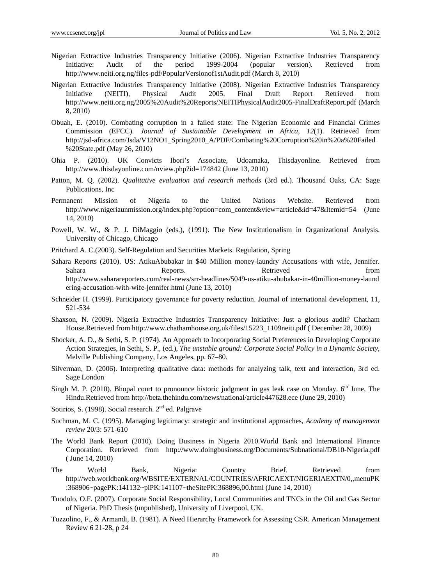- Nigerian Extractive Industries Transparency Initiative (2006). Nigerian Extractive Industries Transparency Initiative: Audit of the period 1999-2004 (popular version). Retrieved from http://www.neiti.org.ng/files-pdf/PopularVersionof1stAudit.pdf (March 8, 2010)
- Nigerian Extractive Industries Transparency Initiative (2008). Nigerian Extractive Industries Transparency Initiative (NEITI), Physical Audit 2005, Final Draft Report Retrieved from http://www.neiti.org.ng/2005%20Audit%20Reports/NEITIPhysicalAudit2005-FinalDraftReport.pdf (March 8, 2010)
- Obuah, E. (2010). Combating corruption in a failed state: The Nigerian Economic and Financial Crimes Commission (EFCC). *Journal of Sustainable Development in Africa*, *12*(1). Retrieved from http://jsd-africa.com/Jsda/V12NO1\_Spring2010\_A/PDF/Combating%20Corruption%20in%20a%20Failed %20State.pdf (May 26, 2010)
- Ohia P. (2010). UK Convicts Ibori's Associate, Udoamaka, Thisdayonline. Retrieved from http://www.thisdayonline.com/nview.php?id=174842 (June 13, 2010)
- Patton, M. Q. (2002). *Qualitative evaluation and research methods* (3rd ed.). Thousand Oaks, CA: Sage Publications, Inc
- Permanent Mission of Nigeria to the United Nations Website. Retrieved from http://www.nigeriaunmission.org/index.php?option=com\_content&view=article&id=47&Itemid=54 (June 14, 2010)
- Powell, W. W., & P. J. DiMaggio (eds.), (1991). The New Institutionalism in Organizational Analysis. University of Chicago, Chicago
- Pritchard A. C.(2003). Self-Regulation and Securities Markets. Regulation, Spring
- Sahara Reports (2010). US: AtikuAbubakar in \$40 Million money-laundry Accusations with wife, Jennifer. Sahara Reports. Reports. Retrieved From Tromas Reports. http://www.saharareporters.com/real-news/srr-headlines/5049-us-atiku-abubakar-in-40million-money-laund ering-accusation-with-wife-jennifer.html (June 13, 2010)
- Schneider H. (1999). Participatory governance for poverty reduction. Journal of international development, 11, 521-534
- Shaxson, N. (2009). Nigeria Extractive Industries Transparency Initiative: Just a glorious audit? Chatham House.Retrieved from http://www.chathamhouse.org.uk/files/15223\_1109neiti.pdf ( December 28, 2009)
- Shocker, A. D., & Sethi, S. P. (1974). An Approach to Incorporating Social Preferences in Developing Corporate Action Strategies, in Sethi, S. P., (ed.), *The unstable ground: Corporate Social Policy in a Dynamic Society*, Melville Publishing Company, Los Angeles, pp. 67–80.
- Silverman, D. (2006). Interpreting qualitative data: methods for analyzing talk, text and interaction, 3rd ed. Sage London
- Singh M. P. (2010). Bhopal court to pronounce historic judgment in gas leak case on Monday.  $6<sup>th</sup>$  June, The Hindu.Retrieved from http://beta.thehindu.com/news/national/article447628.ece (June 29, 2010)
- Sotirios, S. (1998). Social research. 2<sup>nd</sup> ed. Palgrave
- Suchman, M. C. (1995). Managing legitimacy: strategic and institutional approaches, *Academy of management review* 20/3: 571-610
- The World Bank Report (2010). Doing Business in Nigeria 2010.World Bank and International Finance Corporation. Retrieved from http://www.doingbusiness.org/Documents/Subnational/DB10-Nigeria.pdf ( June 14, 2010)
- The World Bank, Nigeria: Country Brief. Retrieved from http://web.worldbank.org/WBSITE/EXTERNAL/COUNTRIES/AFRICAEXT/NIGERIAEXTN/0,,menuPK :368906~pagePK:141132~piPK:141107~theSitePK:368896,00.html (June 14, 2010)
- Tuodolo, O.F. (2007). Corporate Social Responsibility, Local Communities and TNCs in the Oil and Gas Sector of Nigeria. PhD Thesis (unpublished), University of Liverpool, UK.
- Tuzzolino, F., & Armandi, B. (1981). A Need Hierarchy Framework for Assessing CSR. American Management Review 6 21-28, p 24